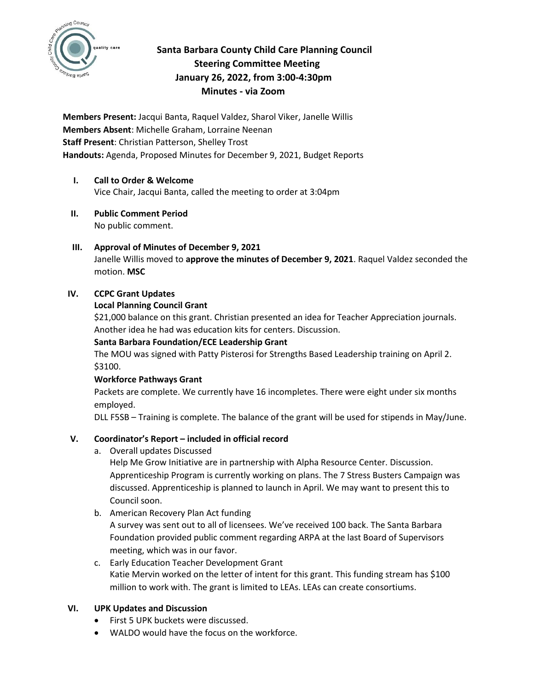

# **Santa Barbara County Child Care Planning Council Steering Committee Meeting January 26, 2022, from 3:00-4:30pm Minutes - via Zoom**

**Members Present:** Jacqui Banta, Raquel Valdez, Sharol Viker, Janelle Willis **Members Absent**: Michelle Graham, Lorraine Neenan **Staff Present**: Christian Patterson, Shelley Trost **Handouts:** Agenda, Proposed Minutes for December 9, 2021, Budget Reports

# **I. Call to Order & Welcome**  Vice Chair, Jacqui Banta, called the meeting to order at 3:04pm

- **II. Public Comment Period**  No public comment.
- **III. Approval of Minutes of December 9, 2021** Janelle Willis moved to **approve the minutes of December 9, 2021**. Raquel Valdez seconded the motion. **MSC**

## **IV. CCPC Grant Updates**

#### **Local Planning Council Grant**

\$21,000 balance on this grant. Christian presented an idea for Teacher Appreciation journals. Another idea he had was education kits for centers. Discussion.

### **Santa Barbara Foundation/ECE Leadership Grant**

The MOU was signed with Patty Pisterosi for Strengths Based Leadership training on April 2. \$3100.

## **Workforce Pathways Grant**

Packets are complete. We currently have 16 incompletes. There were eight under six months employed.

DLL F5SB – Training is complete. The balance of the grant will be used for stipends in May/June.

## **V. Coordinator's Report – included in official record**

a. Overall updates Discussed

Help Me Grow Initiative are in partnership with Alpha Resource Center. Discussion. Apprenticeship Program is currently working on plans. The 7 Stress Busters Campaign was discussed. Apprenticeship is planned to launch in April. We may want to present this to Council soon.

b. American Recovery Plan Act funding

A survey was sent out to all of licensees. We've received 100 back. The Santa Barbara Foundation provided public comment regarding ARPA at the last Board of Supervisors meeting, which was in our favor.

c. Early Education Teacher Development Grant Katie Mervin worked on the letter of intent for this grant. This funding stream has \$100 million to work with. The grant is limited to LEAs. LEAs can create consortiums.

## **VI. UPK Updates and Discussion**

- First 5 UPK buckets were discussed.
- WALDO would have the focus on the workforce.